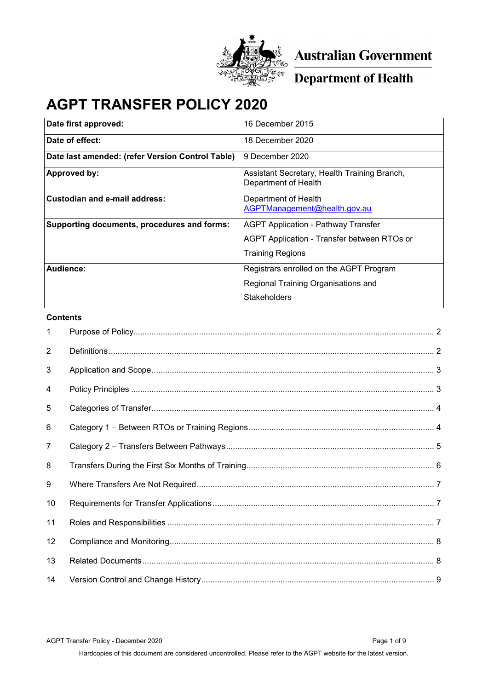

Australian Government

**Department of Health** 

# **AGPT TRANSFER POLICY 2020**

| Date first approved:                             | 16 December 2015                                                     |
|--------------------------------------------------|----------------------------------------------------------------------|
| Date of effect:                                  | 18 December 2020                                                     |
| Date last amended: (refer Version Control Table) | 9 December 2020                                                      |
| <b>Approved by:</b>                              | Assistant Secretary, Health Training Branch,<br>Department of Health |
| <b>Custodian and e-mail address:</b>             | Department of Health<br>AGPTManagement@health.gov.au                 |
| Supporting documents, procedures and forms:      | AGPT Application - Pathway Transfer                                  |
|                                                  | AGPT Application - Transfer between RTOs or                          |
|                                                  | <b>Training Regions</b>                                              |
| Audience:                                        | Registrars enrolled on the AGPT Program                              |
|                                                  | Regional Training Organisations and                                  |
|                                                  | Stakeholders                                                         |

#### **Contents**

| $\mathbf{1}$   |  |
|----------------|--|
| $\overline{2}$ |  |
| 3              |  |
| 4              |  |
| 5              |  |
| 6              |  |
| 7              |  |
| 8              |  |
| 9              |  |
| 10             |  |
| 11             |  |
| 12             |  |
| 13             |  |
| 14             |  |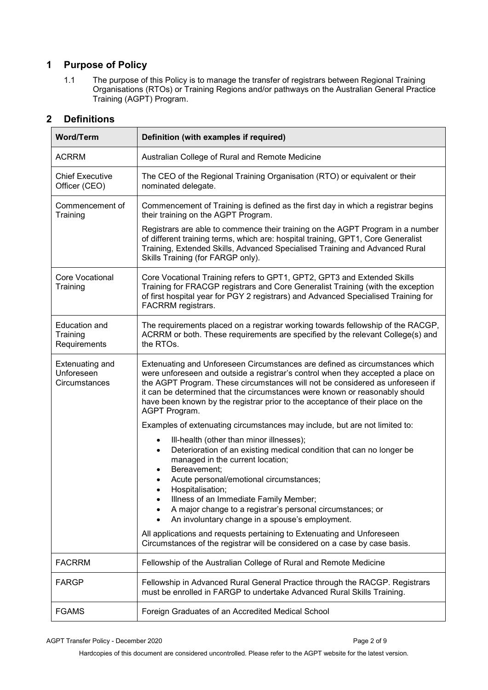## <span id="page-1-0"></span>**1 Purpose of Policy**

1.1 The purpose of this Policy is to manage the transfer of registrars between Regional Training Organisations (RTOs) or Training Regions and/or pathways on the Australian General Practice Training (AGPT) Program.

### <span id="page-1-1"></span>**2 Definitions**

| <b>Word/Term</b>                                      | Definition (with examples if required)                                                                                                                                                                                                                                                                                                                                                                                                |
|-------------------------------------------------------|---------------------------------------------------------------------------------------------------------------------------------------------------------------------------------------------------------------------------------------------------------------------------------------------------------------------------------------------------------------------------------------------------------------------------------------|
| <b>ACRRM</b>                                          | Australian College of Rural and Remote Medicine                                                                                                                                                                                                                                                                                                                                                                                       |
| <b>Chief Executive</b><br>Officer (CEO)               | The CEO of the Regional Training Organisation (RTO) or equivalent or their<br>nominated delegate.                                                                                                                                                                                                                                                                                                                                     |
| Commencement of<br>Training                           | Commencement of Training is defined as the first day in which a registrar begins<br>their training on the AGPT Program.                                                                                                                                                                                                                                                                                                               |
|                                                       | Registrars are able to commence their training on the AGPT Program in a number<br>of different training terms, which are: hospital training, GPT1, Core Generalist<br>Training, Extended Skills, Advanced Specialised Training and Advanced Rural<br>Skills Training (for FARGP only).                                                                                                                                                |
| Core Vocational<br>Training                           | Core Vocational Training refers to GPT1, GPT2, GPT3 and Extended Skills<br>Training for FRACGP registrars and Core Generalist Training (with the exception<br>of first hospital year for PGY 2 registrars) and Advanced Specialised Training for<br>FACRRM registrars.                                                                                                                                                                |
| <b>Education and</b><br>Training<br>Requirements      | The requirements placed on a registrar working towards fellowship of the RACGP,<br>ACRRM or both. These requirements are specified by the relevant College(s) and<br>the RTOs.                                                                                                                                                                                                                                                        |
| <b>Extenuating and</b><br>Unforeseen<br>Circumstances | Extenuating and Unforeseen Circumstances are defined as circumstances which<br>were unforeseen and outside a registrar's control when they accepted a place on<br>the AGPT Program. These circumstances will not be considered as unforeseen if<br>it can be determined that the circumstances were known or reasonably should<br>have been known by the registrar prior to the acceptance of their place on the<br>AGPT Program.     |
|                                                       | Examples of extenuating circumstances may include, but are not limited to:                                                                                                                                                                                                                                                                                                                                                            |
|                                                       | III-health (other than minor illnesses);<br>$\bullet$<br>Deterioration of an existing medical condition that can no longer be<br>$\bullet$<br>managed in the current location;<br>Bereavement;<br>Acute personal/emotional circumstances;<br>Hospitalisation;<br>$\bullet$<br>Illness of an Immediate Family Member;<br>A major change to a registrar's personal circumstances; or<br>An involuntary change in a spouse's employment. |
|                                                       | All applications and requests pertaining to Extenuating and Unforeseen<br>Circumstances of the registrar will be considered on a case by case basis.                                                                                                                                                                                                                                                                                  |
| <b>FACRRM</b>                                         | Fellowship of the Australian College of Rural and Remote Medicine                                                                                                                                                                                                                                                                                                                                                                     |
| FARGP                                                 | Fellowship in Advanced Rural General Practice through the RACGP. Registrars<br>must be enrolled in FARGP to undertake Advanced Rural Skills Training.                                                                                                                                                                                                                                                                                 |
| <b>FGAMS</b>                                          | Foreign Graduates of an Accredited Medical School                                                                                                                                                                                                                                                                                                                                                                                     |

AGPT Transfer Policy - December 2020 **Page 2 of 9** Page 2 of 9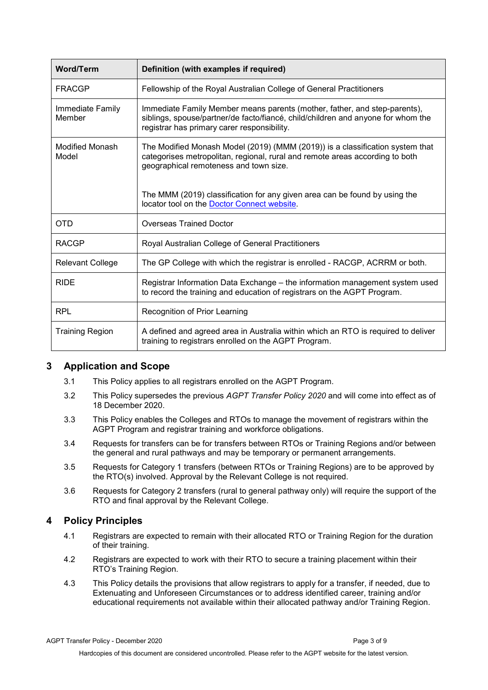| <b>Word/Term</b>           | Definition (with examples if required)                                                                                                                                                                       |
|----------------------------|--------------------------------------------------------------------------------------------------------------------------------------------------------------------------------------------------------------|
| <b>FRACGP</b>              | Fellowship of the Royal Australian College of General Practitioners                                                                                                                                          |
| Immediate Family<br>Member | Immediate Family Member means parents (mother, father, and step-parents),<br>siblings, spouse/partner/de facto/fiancé, child/children and anyone for whom the<br>registrar has primary carer responsibility. |
| Modified Monash<br>Model   | The Modified Monash Model (2019) (MMM (2019)) is a classification system that<br>categorises metropolitan, regional, rural and remote areas according to both<br>geographical remoteness and town size.      |
|                            | The MMM (2019) classification for any given area can be found by using the<br>locator tool on the Doctor Connect website.                                                                                    |
| OTD                        | <b>Overseas Trained Doctor</b>                                                                                                                                                                               |
| <b>RACGP</b>               | Royal Australian College of General Practitioners                                                                                                                                                            |
| <b>Relevant College</b>    | The GP College with which the registrar is enrolled - RACGP, ACRRM or both.                                                                                                                                  |
| <b>RIDE</b>                | Registrar Information Data Exchange - the information management system used<br>to record the training and education of registrars on the AGPT Program.                                                      |
| RPL                        | Recognition of Prior Learning                                                                                                                                                                                |
| <b>Training Region</b>     | A defined and agreed area in Australia within which an RTO is required to deliver<br>training to registrars enrolled on the AGPT Program.                                                                    |

#### <span id="page-2-0"></span>**3 Application and Scope**

- 3.1 This Policy applies to all registrars enrolled on the AGPT Program.
- 3.2 This Policy supersedes the previous *AGPT Transfer Policy 2020* and will come into effect as of 18 December 2020.
- 3.3 This Policy enables the Colleges and RTOs to manage the movement of registrars within the AGPT Program and registrar training and workforce obligations.
- 3.4 Requests for transfers can be for transfers between RTOs or Training Regions and/or between the general and rural pathways and may be temporary or permanent arrangements.
- 3.5 Requests for Category 1 transfers (between RTOs or Training Regions) are to be approved by the RTO(s) involved. Approval by the Relevant College is not required.
- 3.6 Requests for Category 2 transfers (rural to general pathway only) will require the support of the RTO and final approval by the Relevant College.

#### <span id="page-2-1"></span>**4 Policy Principles**

- 4.1 Registrars are expected to remain with their allocated RTO or Training Region for the duration of their training.
- 4.2 Registrars are expected to work with their RTO to secure a training placement within their RTO's Training Region.
- 4.3 This Policy details the provisions that allow registrars to apply for a transfer, if needed, due to Extenuating and Unforeseen Circumstances or to address identified career, training and/or educational requirements not available within their allocated pathway and/or Training Region.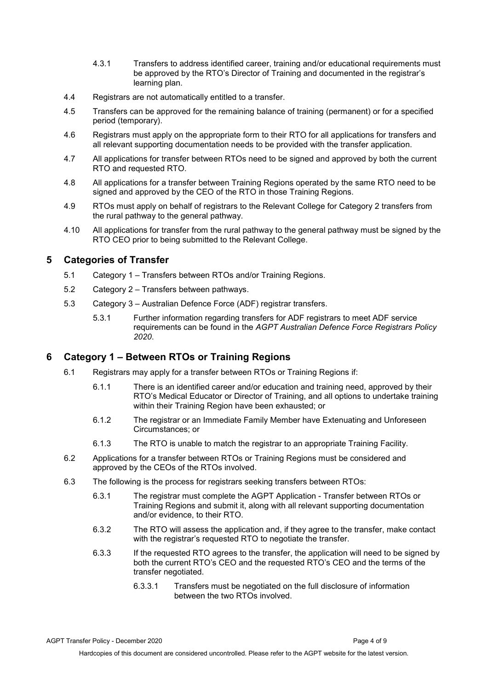- 4.3.1 Transfers to address identified career, training and/or educational requirements must be approved by the RTO's Director of Training and documented in the registrar's learning plan.
- 4.4 Registrars are not automatically entitled to a transfer.
- 4.5 Transfers can be approved for the remaining balance of training (permanent) or for a specified period (temporary).
- 4.6 Registrars must apply on the appropriate form to their RTO for all applications for transfers and all relevant supporting documentation needs to be provided with the transfer application.
- 4.7 All applications for transfer between RTOs need to be signed and approved by both the current RTO and requested RTO.
- 4.8 All applications for a transfer between Training Regions operated by the same RTO need to be signed and approved by the CEO of the RTO in those Training Regions.
- 4.9 RTOs must apply on behalf of registrars to the Relevant College for Category 2 transfers from the rural pathway to the general pathway.
- 4.10 All applications for transfer from the rural pathway to the general pathway must be signed by the RTO CEO prior to being submitted to the Relevant College.

#### <span id="page-3-0"></span>**5 Categories of Transfer**

- 5.1 Category 1 Transfers between RTOs and/or Training Regions.
- 5.2 Category 2 Transfers between pathways.
- 5.3 Category 3 Australian Defence Force (ADF) registrar transfers.
	- 5.3.1 Further information regarding transfers for ADF registrars to meet ADF service requirements can be found in the *AGPT Australian Defence Force Registrars Policy 2020*.

#### <span id="page-3-1"></span>**6 Category 1 – Between RTOs or Training Regions**

- 6.1 Registrars may apply for a transfer between RTOs or Training Regions if:
	- 6.1.1 There is an identified career and/or education and training need, approved by their RTO's Medical Educator or Director of Training, and all options to undertake training within their Training Region have been exhausted; or
	- 6.1.2 The registrar or an Immediate Family Member have Extenuating and Unforeseen Circumstances; or
	- 6.1.3 The RTO is unable to match the registrar to an appropriate Training Facility.
- 6.2 Applications for a transfer between RTOs or Training Regions must be considered and approved by the CEOs of the RTOs involved.
- 6.3 The following is the process for registrars seeking transfers between RTOs:
	- 6.3.1 The registrar must complete the AGPT Application Transfer between RTOs or Training Regions and submit it, along with all relevant supporting documentation and/or evidence, to their RTO.
	- 6.3.2 The RTO will assess the application and, if they agree to the transfer, make contact with the registrar's requested RTO to negotiate the transfer.
	- 6.3.3 If the requested RTO agrees to the transfer, the application will need to be signed by both the current RTO's CEO and the requested RTO's CEO and the terms of the transfer negotiated.
		- 6.3.3.1 Transfers must be negotiated on the full disclosure of information between the two RTOs involved.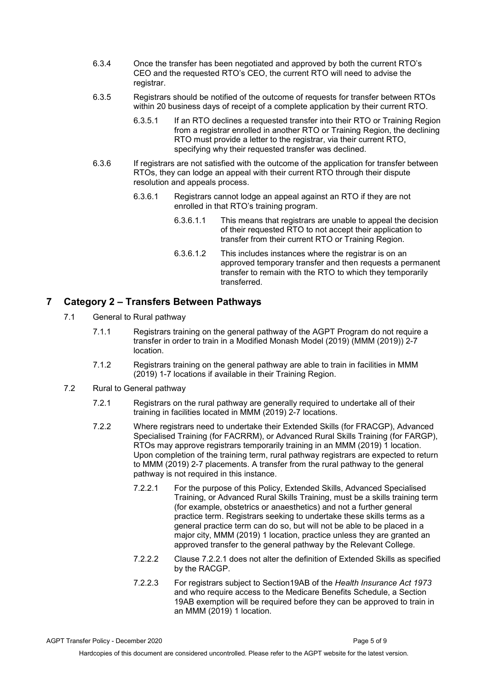- 6.3.4 Once the transfer has been negotiated and approved by both the current RTO's CEO and the requested RTO's CEO, the current RTO will need to advise the registrar.
- 6.3.5 Registrars should be notified of the outcome of requests for transfer between RTOs within 20 business days of receipt of a complete application by their current RTO.
	- 6.3.5.1 If an RTO declines a requested transfer into their RTO or Training Region from a registrar enrolled in another RTO or Training Region, the declining RTO must provide a letter to the registrar, via their current RTO, specifying why their requested transfer was declined.
- 6.3.6 If registrars are not satisfied with the outcome of the application for transfer between RTOs, they can lodge an appeal with their current RTO through their dispute resolution and appeals process.
	- 6.3.6.1 Registrars cannot lodge an appeal against an RTO if they are not enrolled in that RTO's training program.
		- 6.3.6.1.1 This means that registrars are unable to appeal the decision of their requested RTO to not accept their application to transfer from their current RTO or Training Region.
		- 6.3.6.1.2 This includes instances where the registrar is on an approved temporary transfer and then requests a permanent transfer to remain with the RTO to which they temporarily transferred.

#### <span id="page-4-0"></span>**7 Category 2 – Transfers Between Pathways**

- 7.1 General to Rural pathway
	- 7.1.1 Registrars training on the general pathway of the AGPT Program do not require a transfer in order to train in a Modified Monash Model (2019) (MMM (2019)) 2-7 location.
	- 7.1.2 Registrars training on the general pathway are able to train in facilities in MMM (2019) 1-7 locations if available in their Training Region.
- 7.2 Rural to General pathway
	- 7.2.1 Registrars on the rural pathway are generally required to undertake all of their training in facilities located in MMM (2019) 2-7 locations.
	- 7.2.2 Where registrars need to undertake their Extended Skills (for FRACGP), Advanced Specialised Training (for FACRRM), or Advanced Rural Skills Training (for FARGP), RTOs may approve registrars temporarily training in an MMM (2019) 1 location. Upon completion of the training term, rural pathway registrars are expected to return to MMM (2019) 2-7 placements. A transfer from the rural pathway to the general pathway is not required in this instance.
		- 7.2.2.1 For the purpose of this Policy, Extended Skills, Advanced Specialised Training, or Advanced Rural Skills Training, must be a skills training term (for example, obstetrics or anaesthetics) and not a further general practice term. Registrars seeking to undertake these skills terms as a general practice term can do so, but will not be able to be placed in a major city, MMM (2019) 1 location, practice unless they are granted an approved transfer to the general pathway by the Relevant College.
		- 7.2.2.2 Clause 7.2.2.1 does not alter the definition of Extended Skills as specified by the RACGP.
		- 7.2.2.3 For registrars subject to Section19AB of the *Health Insurance Act 1973* and who require access to the Medicare Benefits Schedule, a Section 19AB exemption will be required before they can be approved to train in an MMM (2019) 1 location.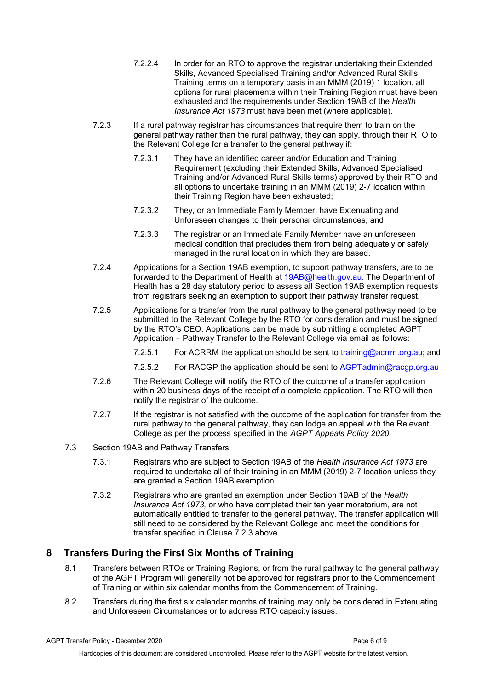- 7.2.2.4 In order for an RTO to approve the registrar undertaking their Extended Skills, Advanced Specialised Training and/or Advanced Rural Skills Training terms on a temporary basis in an MMM (2019) 1 location, all options for rural placements within their Training Region must have been exhausted and the requirements under Section 19AB of the *Health Insurance Act 1973* must have been met (where applicable).
- 7.2.3 If a rural pathway registrar has circumstances that require them to train on the general pathway rather than the rural pathway, they can apply, through their RTO to the Relevant College for a transfer to the general pathway if:
	- 7.2.3.1 They have an identified career and/or Education and Training Requirement (excluding their Extended Skills, Advanced Specialised Training and/or Advanced Rural Skills terms) approved by their RTO and all options to undertake training in an MMM (2019) 2-7 location within their Training Region have been exhausted;
	- 7.2.3.2 They, or an Immediate Family Member, have Extenuating and Unforeseen changes to their personal circumstances; and
	- 7.2.3.3 The registrar or an Immediate Family Member have an unforeseen medical condition that precludes them from being adequately or safely managed in the rural location in which they are based.
- 7.2.4 Applications for a Section 19AB exemption, to support pathway transfers, are to be forwarded to the Department of Health at [19AB@health.gov.au.](mailto:19AB@health.gov.au) The Department of Health has a 28 day statutory period to assess all Section 19AB exemption requests from registrars seeking an exemption to support their pathway transfer request.
- 7.2.5 Applications for a transfer from the rural pathway to the general pathway need to be submitted to the Relevant College by the RTO for consideration and must be signed by the RTO's CEO. Applications can be made by submitting a completed AGPT Application – Pathway Transfer to the Relevant College via email as follows:
	- 7.2.5.1 For ACRRM the application should be sent to [training@acrrm.org.au;](mailto:training@acrrm.org.au) and
	- 7.2.5.2 For RACGP the application should be sent to [AGPTadmin@racgp.org.au](mailto:AGPTadmin@racgp.org.au)
- 7.2.6 The Relevant College will notify the RTO of the outcome of a transfer application within 20 business days of the receipt of a complete application. The RTO will then notify the registrar of the outcome.
- 7.2.7 If the registrar is not satisfied with the outcome of the application for transfer from the rural pathway to the general pathway, they can lodge an appeal with the Relevant College as per the process specified in the *AGPT Appeals Policy 2020*.
- 7.3 Section 19AB and Pathway Transfers
	- 7.3.1 Registrars who are subject to Section 19AB of the *Health Insurance Act 1973* are required to undertake all of their training in an MMM (2019) 2-7 location unless they are granted a Section 19AB exemption.
	- 7.3.2 Registrars who are granted an exemption under Section 19AB of the *Health Insurance Act 1973,* or who have completed their ten year moratorium, are not automatically entitled to transfer to the general pathway. The transfer application will still need to be considered by the Relevant College and meet the conditions for transfer specified in Clause 7.2.3 above.

#### <span id="page-5-0"></span>**8 Transfers During the First Six Months of Training**

- 8.1 Transfers between RTOs or Training Regions, or from the rural pathway to the general pathway of the AGPT Program will generally not be approved for registrars prior to the Commencement of Training or within six calendar months from the Commencement of Training.
- 8.2 Transfers during the first six calendar months of training may only be considered in Extenuating and Unforeseen Circumstances or to address RTO capacity issues.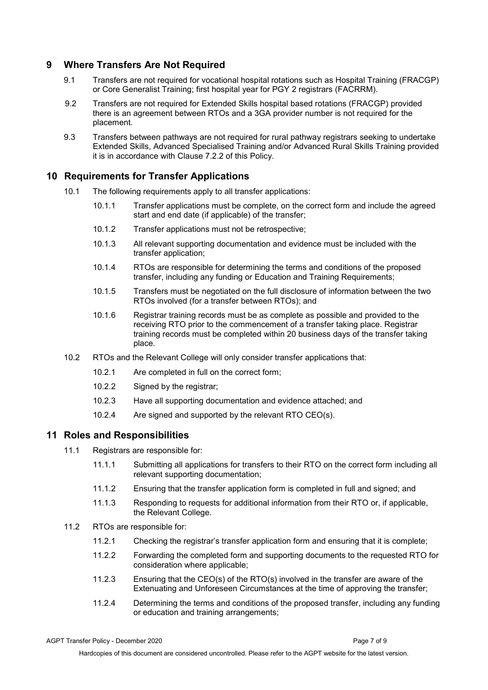#### <span id="page-6-0"></span>**9 Where Transfers Are Not Required**

- 9.1 Transfers are not required for vocational hospital rotations such as Hospital Training (FRACGP) or Core Generalist Training; first hospital year for PGY 2 registrars (FACRRM).
- 9.2 Transfers are not required for Extended Skills hospital based rotations (FRACGP) provided there is an agreement between RTOs and a 3GA provider number is not required for the placement.
- 9.3 Transfers between pathways are not required for rural pathway registrars seeking to undertake Extended Skills, Advanced Specialised Training and/or Advanced Rural Skills Training provided it is in accordance with Clause 7.2.2 of this Policy.

#### <span id="page-6-1"></span>**10 Requirements for Transfer Applications**

- 10.1 The following requirements apply to all transfer applications:
	- 10.1.1 Transfer applications must be complete, on the correct form and include the agreed start and end date (if applicable) of the transfer;
	- 10.1.2 Transfer applications must not be retrospective;
	- 10.1.3 All relevant supporting documentation and evidence must be included with the transfer application;
	- 10.1.4 RTOs are responsible for determining the terms and conditions of the proposed transfer, including any funding or Education and Training Requirements;
	- 10.1.5 Transfers must be negotiated on the full disclosure of information between the two RTOs involved (for a transfer between RTOs); and
	- 10.1.6 Registrar training records must be as complete as possible and provided to the receiving RTO prior to the commencement of a transfer taking place. Registrar training records must be completed within 20 business days of the transfer taking place.
- 10.2 RTOs and the Relevant College will only consider transfer applications that:
	- 10.2.1 Are completed in full on the correct form;
	- 10.2.2 Signed by the registrar;
	- 10.2.3 Have all supporting documentation and evidence attached; and
	- 10.2.4 Are signed and supported by the relevant RTO CEO(s).

#### <span id="page-6-2"></span>**11 Roles and Responsibilities**

- 11.1 Registrars are responsible for:
	- 11.1.1 Submitting all applications for transfers to their RTO on the correct form including all relevant supporting documentation;
	- 11.1.2 Ensuring that the transfer application form is completed in full and signed; and
	- 11.1.3 Responding to requests for additional information from their RTO or, if applicable, the Relevant College.
- 11.2 RTOs are responsible for:
	- 11.2.1 Checking the registrar's transfer application form and ensuring that it is complete;
	- 11.2.2 Forwarding the completed form and supporting documents to the requested RTO for consideration where applicable;
	- 11.2.3 Ensuring that the CEO(s) of the RTO(s) involved in the transfer are aware of the Extenuating and Unforeseen Circumstances at the time of approving the transfer;
	- 11.2.4 Determining the terms and conditions of the proposed transfer, including any funding or education and training arrangements;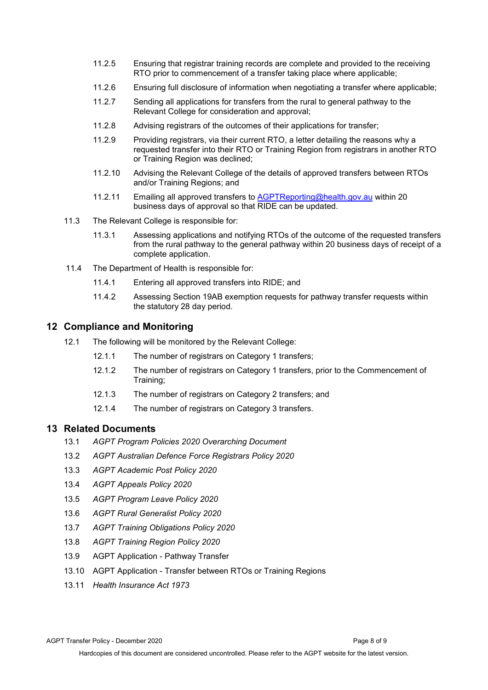- 11.2.5 Ensuring that registrar training records are complete and provided to the receiving RTO prior to commencement of a transfer taking place where applicable;
- 11.2.6 Ensuring full disclosure of information when negotiating a transfer where applicable;
- 11.2.7 Sending all applications for transfers from the rural to general pathway to the Relevant College for consideration and approval;
- 11.2.8 Advising registrars of the outcomes of their applications for transfer;
- 11.2.9 Providing registrars, via their current RTO, a letter detailing the reasons why a requested transfer into their RTO or Training Region from registrars in another RTO or Training Region was declined;
- 11.2.10 Advising the Relevant College of the details of approved transfers between RTOs and/or Training Regions; and
- 11.2.11 Emailing all approved transfers to **[AGPTReporting@health.gov.au](mailto:AGPTReporting@health.gov.au) within 20** business days of approval so that RIDE can be updated.
- 11.3 The Relevant College is responsible for:
	- 11.3.1 Assessing applications and notifying RTOs of the outcome of the requested transfers from the rural pathway to the general pathway within 20 business days of receipt of a complete application.
- 11.4 The Department of Health is responsible for:
	- 11.4.1 Entering all approved transfers into RIDE; and
	- 11.4.2 Assessing Section 19AB exemption requests for pathway transfer requests within the statutory 28 day period.

#### <span id="page-7-0"></span>**12 Compliance and Monitoring**

- 12.1 The following will be monitored by the Relevant College:
	- 12.1.1 The number of registrars on Category 1 transfers;
	- 12.1.2 The number of registrars on Category 1 transfers, prior to the Commencement of Training;
	- 12.1.3 The number of registrars on Category 2 transfers; and
	- 12.1.4 The number of registrars on Category 3 transfers.

#### <span id="page-7-1"></span>**13 Related Documents**

- 13.1 *AGPT Program Policies 2020 Overarching Document*
- 13.2 *AGPT Australian Defence Force Registrars Policy 2020*
- 13.3 *AGPT Academic Post Policy 2020*
- 13.4 *AGPT Appeals Policy 2020*
- 13.5 *AGPT Program Leave Policy 2020*
- 13.6 *AGPT Rural Generalist Policy 2020*
- 13.7 *AGPT Training Obligations Policy 2020*
- 13.8 *AGPT Training Region Policy 2020*
- 13.9 AGPT Application Pathway Transfer
- 13.10 AGPT Application Transfer between RTOs or Training Regions
- 13.11 *Health Insurance Act 1973*